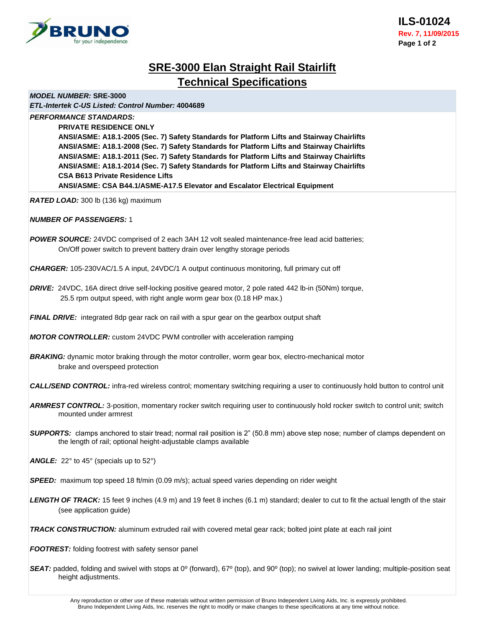

# **SRE-3000 Elan Straight Rail Stairlift Technical Specifications**

*MODEL NUMBER:* **SRE-3000**

*ETL-Intertek C-US Listed: Control Number:* **4004689**

*PERFORMANCE STANDARDS:*

**PRIVATE RESIDENCE ONLY**

**ANSI/ASME: A18.1-2005 (Sec. 7) Safety Standards for Platform Lifts and Stairway Chairlifts ANSI/ASME: A18.1-2008 (Sec. 7) Safety Standards for Platform Lifts and Stairway Chairlifts ANSI/ASME: A18.1-2011 (Sec. 7) Safety Standards for Platform Lifts and Stairway Chairlifts ANSI/ASME: A18.1-2014 (Sec. 7) Safety Standards for Platform Lifts and Stairway Chairlifts CSA B613 Private Residence Lifts ANSI/ASME: CSA B44.1/ASME-A17.5 Elevator and Escalator Electrical Equipment**

*RATED LOAD:* 300 lb (136 kg) maximum

## *NUMBER OF PASSENGERS:* 1

**POWER SOURCE:** 24VDC comprised of 2 each 3AH 12 volt sealed maintenance-free lead acid batteries; On/Off power switch to prevent battery drain over lengthy storage periods

*CHARGER:* 105-230VAC/1.5 A input, 24VDC/1 A output continuous monitoring, full primary cut off

*DRIVE:* 24VDC, 16A direct drive self-locking positive geared motor, 2 pole rated 442 lb-in (50Nm) torque, 25.5 rpm output speed, with right angle worm gear box (0.18 HP max.)

*FINAL DRIVE:* integrated 8dp gear rack on rail with a spur gear on the gearbox output shaft

*MOTOR CONTROLLER:* custom 24VDC PWM controller with acceleration ramping

**BRAKING:** dynamic motor braking through the motor controller, worm gear box, electro-mechanical motor brake and overspeed protection

*CALL/SEND CONTROL:* infra-red wireless control; momentary switching requiring a user to continuously hold button to control unit

*ARMREST CONTROL:* 3-position, momentary rocker switch requiring user to continuously hold rocker switch to control unit; switch mounted under armrest

- *SUPPORTS:*clamps anchored to stair tread; normal rail position is 2" (50.8 mm) above step nose; number of clamps dependent on the length of rail; optional height-adjustable clamps available
- ANGLE: 22° to 45° (specials up to 52°)
- *SPEED:*maximum top speed 18 ft/min (0.09 m/s); actual speed varies depending on rider weight
- *LENGTH OF TRACK:* 15 feet 9 inches (4.9 m) and 19 feet 8 inches (6.1 m) standard; dealer to cut to fit the actual length of the stair (see application guide)

*TRACK CONSTRUCTION:* aluminum extruded rail with covered metal gear rack; bolted joint plate at each rail joint

*FOOTREST:* folding footrest with safety sensor panel

**SEAT:** padded, folding and swivel with stops at 0<sup>o</sup> (forward), 67<sup>o</sup> (top), and 90<sup>o</sup> (top); no swivel at lower landing; multiple-position seat height adjustments.